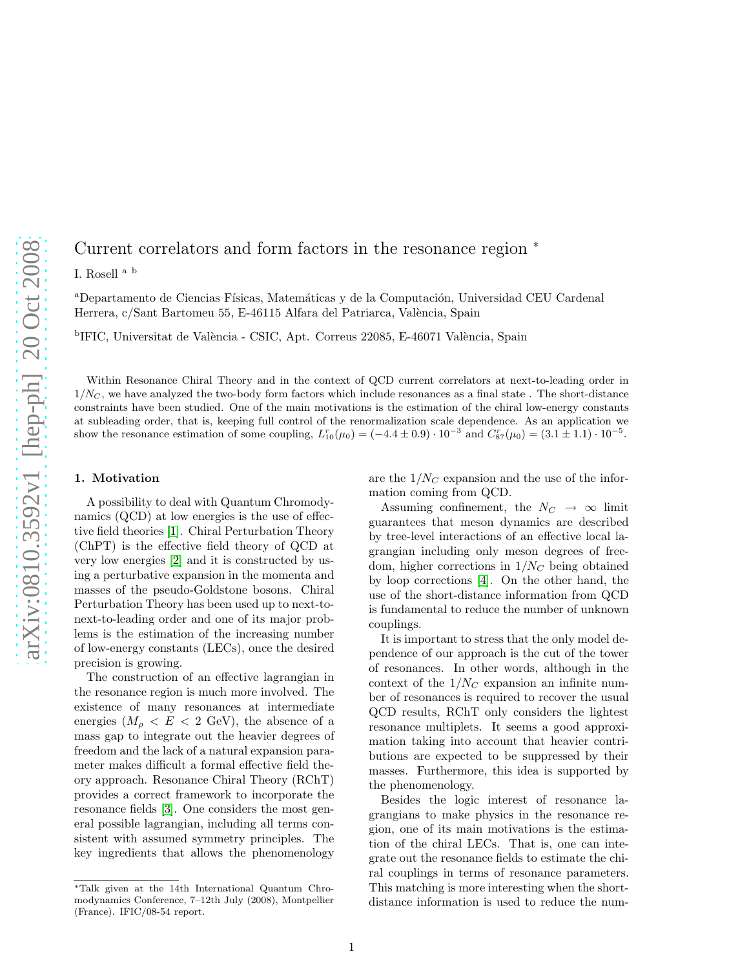# Current correlators and form factors in the resonance region  $*$

I. Rosell a b

<sup>a</sup>Departamento de Ciencias Físicas, Matemáticas y de la Computación, Universidad CEU Cardenal Herrera, c/Sant Bartomeu 55, E-46115 Alfara del Patriarca, València, Spain

<sup>b</sup>IFIC, Universitat de València - CSIC, Apt. Correus 22085, E-46071 València, Spain

Within Resonance Chiral Theory and in the context of QCD current correlators at next-to-leading order in  $1/N_C$ , we have analyzed the two-body form factors which include resonances as a final state. The short-distance constraints have been studied. One of the main motivations is the estimation of the chiral low-energy constants at subleading order, that is, keeping full control of the renormalization scale dependence. As an application we show the resonance estimation of some coupling,  $L_{10}^{r}(\mu_0) = (-4.4 \pm 0.9) \cdot 10^{-3}$  and  $C_{87}^{r}(\mu_0) = (3.1 \pm 1.1) \cdot 10^{-5}$ .

#### 1. Motivation

A possibility to deal with Quantum Chromodynamics (QCD) at low energies is the use of effective field theories [\[1\]](#page-3-0). Chiral Perturbation Theory (ChPT) is the effective field theory of QCD at very low energies [\[2\]](#page-3-1) and it is constructed by using a perturbative expansion in the momenta and masses of the pseudo-Goldstone bosons. Chiral Perturbation Theory has been used up to next-tonext-to-leading order and one of its major problems is the estimation of the increasing number of low-energy constants (LECs), once the desired precision is growing.

The construction of an effective lagrangian in the resonance region is much more involved. The existence of many resonances at intermediate energies  $(M_{\rho} < E < 2$  GeV), the absence of a mass gap to integrate out the heavier degrees of freedom and the lack of a natural expansion parameter makes difficult a formal effective field theory approach. Resonance Chiral Theory (RChT) provides a correct framework to incorporate the resonance fields [\[3\]](#page-3-2). One considers the most general possible lagrangian, including all terms consistent with assumed symmetry principles. The key ingredients that allows the phenomenology are the  $1/N_C$  expansion and the use of the information coming from QCD.

Assuming confinement, the  $N_C \rightarrow \infty$  limit guarantees that meson dynamics are described by tree-level interactions of an effective local lagrangian including only meson degrees of freedom, higher corrections in  $1/N_C$  being obtained by loop corrections [\[4\]](#page-3-3). On the other hand, the use of the short-distance information from QCD is fundamental to reduce the number of unknown couplings.

It is important to stress that the only model dependence of our approach is the cut of the tower of resonances. In other words, although in the context of the  $1/N_C$  expansion an infinite number of resonances is required to recover the usual QCD results, RChT only considers the lightest resonance multiplets. It seems a good approximation taking into account that heavier contributions are expected to be suppressed by their masses. Furthermore, this idea is supported by the phenomenology.

Besides the logic interest of resonance lagrangians to make physics in the resonance region, one of its main motivations is the estimation of the chiral LECs. That is, one can integrate out the resonance fields to estimate the chiral couplings in terms of resonance parameters. This matching is more interesting when the shortdistance information is used to reduce the num-

<sup>∗</sup>Talk given at the 14th International Quantum Chromodynamics Conference, 7–12th July (2008), Montpellier (France). IFIC/08-54 report.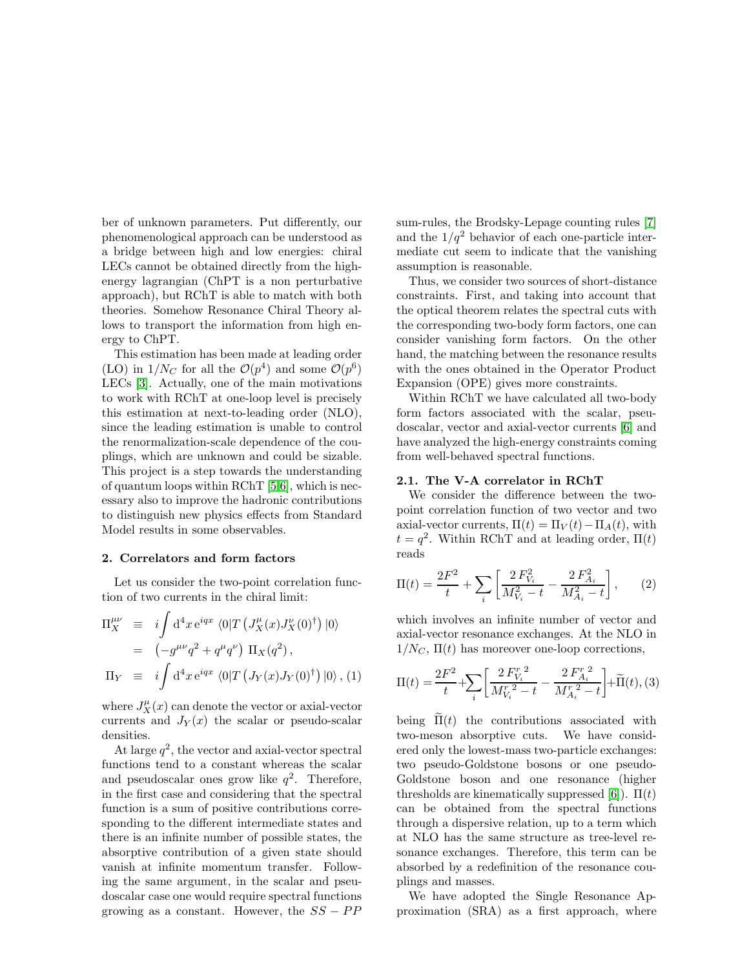ber of unknown parameters. Put differently, our phenomenological approach can be understood as a bridge between high and low energies: chiral LECs cannot be obtained directly from the highenergy lagrangian (ChPT is a non perturbative approach), but RChT is able to match with both theories. Somehow Resonance Chiral Theory allows to transport the information from high energy to ChPT.

This estimation has been made at leading order (LO) in  $1/N_C$  for all the  $\mathcal{O}(p^4)$  and some  $\mathcal{O}(p^6)$ LECs [\[3\]](#page-3-2). Actually, one of the main motivations to work with RChT at one-loop level is precisely this estimation at next-to-leading order (NLO), since the leading estimation is unable to control the renormalization-scale dependence of the couplings, which are unknown and could be sizable. This project is a step towards the understanding of quantum loops within RChT [\[5](#page-3-4)[,6\]](#page-3-5), which is necessary also to improve the hadronic contributions to distinguish new physics effects from Standard Model results in some observables.

#### 2. Correlators and form factors

Let us consider the two-point correlation function of two currents in the chiral limit:

$$
\Pi_X^{\mu\nu} \equiv i \int d^4x \, e^{iqx} \langle 0|T \left( J_X^{\mu}(x) J_X^{\nu}(0)^{\dagger} \right) |0\rangle
$$
  
\n
$$
= \left( -g^{\mu\nu} q^2 + q^{\mu} q^{\nu} \right) \Pi_X(q^2),
$$
  
\n
$$
\Pi_Y \equiv i \int d^4x \, e^{iqx} \langle 0|T \left( J_Y(x) J_Y(0)^{\dagger} \right) |0\rangle, (1)
$$

where  $J_X^{\mu}(x)$  can denote the vector or axial-vector currents and  $J_Y(x)$  the scalar or pseudo-scalar densities.

At large  $q^2$ , the vector and axial-vector spectral functions tend to a constant whereas the scalar and pseudoscalar ones grow like  $q^2$ . Therefore, in the first case and considering that the spectral function is a sum of positive contributions corresponding to the different intermediate states and there is an infinite number of possible states, the absorptive contribution of a given state should vanish at infinite momentum transfer. Following the same argument, in the scalar and pseudoscalar case one would require spectral functions growing as a constant. However, the  $SS - PP$  sum-rules, the Brodsky-Lepage counting rules [\[7\]](#page-3-6) and the  $1/q^2$  behavior of each one-particle intermediate cut seem to indicate that the vanishing assumption is reasonable.

Thus, we consider two sources of short-distance constraints. First, and taking into account that the optical theorem relates the spectral cuts with the corresponding two-body form factors, one can consider vanishing form factors. On the other hand, the matching between the resonance results with the ones obtained in the Operator Product Expansion (OPE) gives more constraints.

Within RChT we have calculated all two-body form factors associated with the scalar, pseudoscalar, vector and axial-vector currents [\[6\]](#page-3-5) and have analyzed the high-energy constraints coming from well-behaved spectral functions.

#### 2.1. The V-A correlator in RChT

We consider the difference between the twopoint correlation function of two vector and two axial-vector currents,  $\Pi(t) = \Pi_V(t) - \Pi_A(t)$ , with  $t = q^2$ . Within RChT and at leading order,  $\Pi(t)$ reads

<span id="page-1-0"></span>
$$
\Pi(t) = \frac{2F^2}{t} + \sum_{i} \left[ \frac{2F_{V_i}^2}{M_{V_i}^2 - t} - \frac{2F_{A_i}^2}{M_{A_i}^2 - t} \right],\qquad(2)
$$

which involves an infinite number of vector and axial-vector resonance exchanges. At the NLO in  $1/N_C$ ,  $\Pi(t)$  has moreover one-loop corrections,

<span id="page-1-1"></span>
$$
\Pi(t) = \frac{2F^2}{t} + \sum_{i} \left[ \frac{2 F_{V_i}^T{}^2}{M_{V_i}^T{}^2 - t} - \frac{2 F_{A_i}^T{}^2}{M_{A_i}^T{}^2 - t} \right] + \widetilde{\Pi}(t),
$$
 (3)

being  $\tilde{\Pi}(t)$  the contributions associated with two-meson absorptive cuts. We have considered only the lowest-mass two-particle exchanges: two pseudo-Goldstone bosons or one pseudo-Goldstone boson and one resonance (higher thresholds are kinematically suppressed [\[6\]](#page-3-5)).  $\Pi(t)$ can be obtained from the spectral functions through a dispersive relation, up to a term which at NLO has the same structure as tree-level resonance exchanges. Therefore, this term can be absorbed by a redefinition of the resonance couplings and masses.

We have adopted the Single Resonance Approximation (SRA) as a first approach, where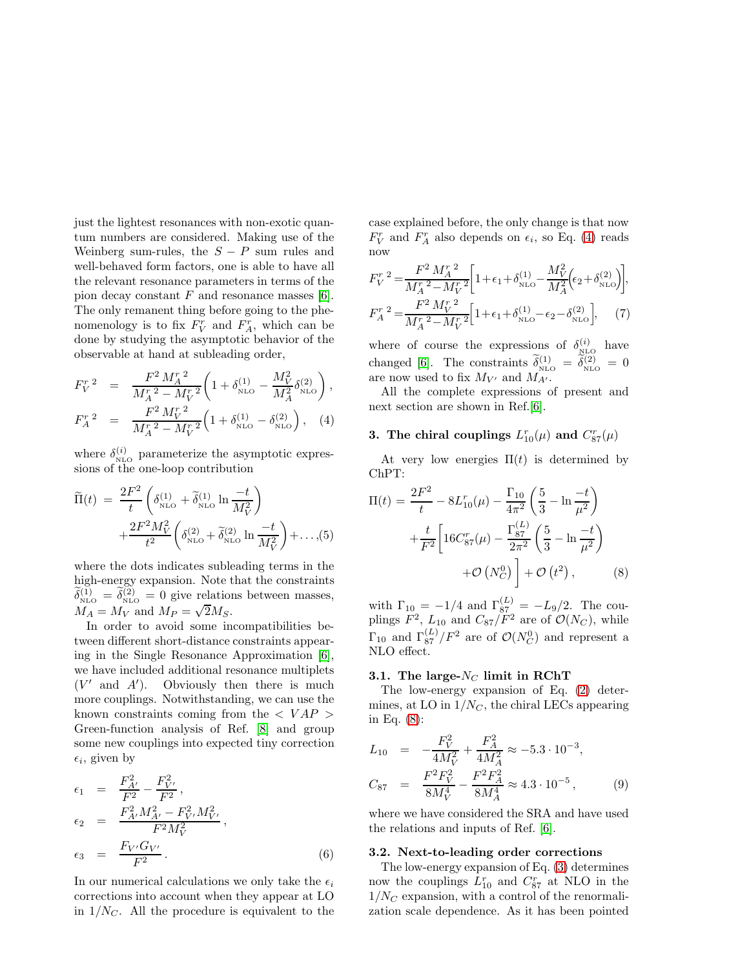just the lightest resonances with non-exotic quantum numbers are considered. Making use of the Weinberg sum-rules, the  $S - P$  sum rules and well-behaved form factors, one is able to have all the relevant resonance parameters in terms of the pion decay constant  $F$  and resonance masses [\[6\]](#page-3-5). The only remanent thing before going to the phenomenology is to fix  $F_V^r$  and  $F_A^r$ , which can be done by studying the asymptotic behavior of the observable at hand at subleading order,

<span id="page-2-0"></span>
$$
F_V^r^2 = \frac{F^2 M_A^r^2}{M_A^r^2 - M_V^r^2} \left( 1 + \delta_{\text{NLO}}^{(1)} - \frac{M_V^2}{M_A^2} \delta_{\text{NLO}}^{(2)} \right),
$$
  
\n
$$
F_A^r^2 = \frac{F^2 M_V^r^2}{M_A^r^2 - M_V^r^2} \left( 1 + \delta_{\text{NLO}}^{(1)} - \delta_{\text{NLO}}^{(2)} \right), \quad (4)
$$

where  $\delta_{\text{NLO}}^{(i)}$  parameterize the asymptotic expressions of the one-loop contribution

$$
\widetilde{\Pi}(t) = \frac{2F^2}{t} \left( \delta_{\text{NLO}}^{(1)} + \widetilde{\delta}_{\text{NLO}}^{(1)} \ln \frac{-t}{M_V^2} \right) + \frac{2F^2 M_V^2}{t^2} \left( \delta_{\text{NLO}}^{(2)} + \widetilde{\delta}_{\text{NLO}}^{(2)} \ln \frac{-t}{M_V^2} \right) + \dots, (5)
$$

where the dots indicates subleading terms in the high-energy expansion. Note that the constraints  $\delta_{\text{\tiny NLO}}^{(1)} = \delta_{\text{\tiny NLO}}^{(2)} = 0$  give relations between masses,  $M_A = M_V$  and  $M_P = \sqrt{2}M_S$ .

In order to avoid some incompatibilities between different short-distance constraints appearing in the Single Resonance Approximation [\[6\]](#page-3-5), we have included additional resonance multiplets  $(V'$  and  $A'$ ). Obviously then there is much more couplings. Notwithstanding, we can use the known constraints coming from the  $\langle VAP \rangle$ Green-function analysis of Ref. [\[8\]](#page-3-7) and group some new couplings into expected tiny correction  $\epsilon_i$ , given by

$$
\epsilon_1 = \frac{F_{A'}^2}{F^2} - \frac{F_{V'}^2}{F^2},
$$
\n
$$
\epsilon_2 = \frac{F_{A'}^2 M_{A'}^2 - F_{V'}^2 M_{V'}^2}{F^2 M_V^2},
$$
\n
$$
\epsilon_3 = \frac{F_{V'} G_{V'}}{F^2}.
$$
\n(6)

In our numerical calculations we only take the  $\epsilon_i$ corrections into account when they appear at LO in  $1/N<sub>C</sub>$ . All the procedure is equivalent to the case explained before, the only change is that now  $F_V^r$  and  $F_A^r$  also depends on  $\epsilon_i$ , so Eq. [\(4\)](#page-2-0) reads now

$$
F_V^r^2 = \frac{F^2 M_A^r^2}{M_A^r^2 - M_V^r^2} \left[ 1 + \epsilon_1 + \delta_{\text{NLO}}^{(1)} - \frac{M_V^2}{M_A^2} \left( \epsilon_2 + \delta_{\text{NLO}}^{(2)} \right) \right],
$$
  
\n
$$
F_A^r^2 = \frac{F^2 M_V^r^2}{M_A^r^2 - M_V^r^2} \left[ 1 + \epsilon_1 + \delta_{\text{NLO}}^{(1)} - \epsilon_2 - \delta_{\text{NLO}}^{(2)} \right],
$$
 (7)

where of course the expressions of  $\delta_{\text{NLO}}^{(i)}$  have changed [\[6\]](#page-3-5). The constraints  $\delta_{\text{NLO}}^{(1)} = \delta_{\text{NLO}}^{(2)} = 0$ are now used to fix  $M_{V'}$  and  $M_{A'}$ .

All the complete expressions of present and next section are shown in Ref.[\[6\]](#page-3-5).

## 3. The chiral couplings  $L_{10}^r(\mu)$  and  $C_{87}^r(\mu)$

At very low energies  $\Pi(t)$  is determined by ChPT:

<span id="page-2-1"></span>
$$
\Pi(t) = \frac{2F^2}{t} - 8L_{10}^r(\mu) - \frac{\Gamma_{10}}{4\pi^2} \left(\frac{5}{3} - \ln\frac{-t}{\mu^2}\right) \n+ \frac{t}{F^2} \left[16C_{87}^r(\mu) - \frac{\Gamma_{87}^{(L)}}{2\pi^2} \left(\frac{5}{3} - \ln\frac{-t}{\mu^2}\right) \n+ \mathcal{O}\left(N_C^0\right) + \mathcal{O}\left(t^2\right),
$$
\n(8)

with  $\Gamma_{10} = -1/4$  and  $\Gamma_{87}^{(L)} = -L_9/2$ . The couplings  $F^2$ ,  $L_{10}$  and  $C_{87}/F^2$  are of  $\mathcal{O}(N_C)$ , while  $\Gamma_{10}$  and  $\Gamma_{87}^{(L)}/F^2$  are of  $\mathcal{O}(N_C^0)$  and represent a NLO effect.

#### 3.1. The large- $N_C$  limit in RChT

The low-energy expansion of Eq. [\(2\)](#page-1-0) determines, at LO in  $1/N_C$ , the chiral LECs appearing in Eq. [\(8\)](#page-2-1):

$$
L_{10} = -\frac{F_V^2}{4M_V^2} + \frac{F_A^2}{4M_A^2} \approx -5.3 \cdot 10^{-3},
$$
  
\n
$$
C_{87} = \frac{F^2 F_V^2}{8M_V^4} - \frac{F^2 F_A^2}{8M_A^4} \approx 4.3 \cdot 10^{-5},
$$
\n(9)

where we have considered the SRA and have used the relations and inputs of Ref. [\[6\]](#page-3-5).

#### 3.2. Next-to-leading order corrections

The low-energy expansion of Eq. [\(3\)](#page-1-1) determines now the couplings  $L_{10}^r$  and  $C_{87}^r$  at NLO in the  $1/N_C$  expansion, with a control of the renormalization scale dependence. As it has been pointed